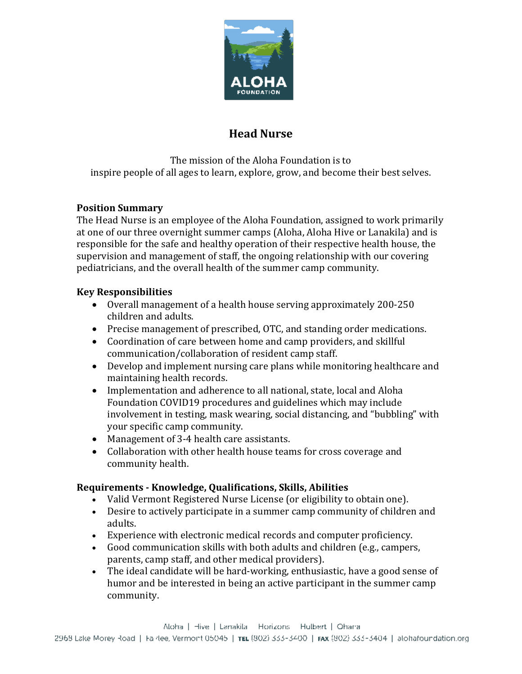

# **Head Nurse**

The mission of the Aloha Foundation is to inspire people of all ages to learn, explore, grow, and become their best selves.

## **Position Summary**

The Head Nurse is an employee of the Aloha Foundation, assigned to work primarily at one of our three overnight summer camps (Aloha, Aloha Hive or Lanakila) and is responsible for the safe and healthy operation of their respective health house, the supervision and management of staff, the ongoing relationship with our covering pediatricians, and the overall health of the summer camp community.

### **Key Responsibilities**

- Overall management of a health house serving approximately 200-250 children and adults.
- Precise management of prescribed, OTC, and standing order medications.
- Coordination of care between home and camp providers, and skillful communication/collaboration of resident camp staff.
- Develop and implement nursing care plans while monitoring healthcare and maintaining health records.
- Implementation and adherence to all national, state, local and Aloha Foundation COVID19 procedures and guidelines which may include involvement in testing, mask wearing, social distancing, and "bubbling" with your specific camp community.
- Management of 3-4 health care assistants.
- Collaboration with other health house teams for cross coverage and community health.

#### **Requirements - Knowledge, Qualifications, Skills, Abilities**

- Valid Vermont Registered Nurse License (or eligibility to obtain one).
- Desire to actively participate in a summer camp community of children and adults.
- Experience with electronic medical records and computer proficiency.
- Good communication skills with both adults and children (e.g., campers, parents, camp staff, and other medical providers).
- The ideal candidate will be hard-working, enthusiastic, have a good sense of humor and be interested in being an active participant in the summer camp community.